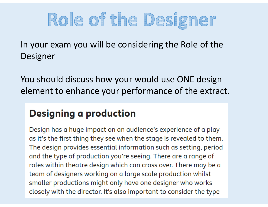# Role of the Designer

In your exam you will be considering the Role of the Designer

You should discuss how your would use ONE design element to enhance your performance of the extract.

# **Designing a production**

Design has a huge impact on an audience's experience of a play as it's the first thing they see when the stage is revealed to them. The design provides essential information such as setting, period and the type of production you're seeing. There are a range of roles within theatre design which can cross over. There may be a team of designers working on a large scale production whilst smaller productions might only have one designer who works closely with the director. It's also important to consider the type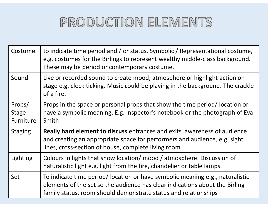# PRODUCTION ELEMENTS

| Costume                             | to indicate time period and / or status. Symbolic / Representational costume,<br>e.g. costumes for the Birlings to represent wealthy middle-class background.<br>These may be period or contemporary costume.                   |
|-------------------------------------|---------------------------------------------------------------------------------------------------------------------------------------------------------------------------------------------------------------------------------|
| Sound                               | Live or recorded sound to create mood, atmosphere or highlight action on<br>stage e.g. clock ticking. Music could be playing in the background. The crackle<br>of a fire.                                                       |
| Props/<br><b>Stage</b><br>Furniture | Props in the space or personal props that show the time period/ location or<br>have a symbolic meaning. E.g. Inspector's notebook or the photograph of Eva<br>Smith                                                             |
| <b>Staging</b>                      | <b>Really hard element to discuss</b> entrances and exits, awareness of audience<br>and creating an appropriate space for performers and audience, e.g. sight<br>lines, cross-section of house, complete living room.           |
| Lighting                            | Colours in lights that show location/ mood / atmosphere. Discussion of<br>naturalistic light e.g. light from the fire, chandelier or table lamps                                                                                |
| Set                                 | To indicate time period/ location or have symbolic meaning e.g., naturalistic<br>elements of the set so the audience has clear indications about the Birling<br>family status, room should demonstrate status and relationships |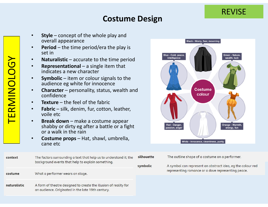#### **Costume Design**

- • **Style** – concept of the whole play and overall appearance
- • **Period** – the time period/era the play is set in
- •**Naturalistic** – accurate to the time period
- • **Representational** – a single item that indicates a new character
- • **Symbolic** – item or colour signals to the audience eg white for innocence
- • **Character** – personality, status, wealth and confidence
- •**Texture** – the feel of the fabric
- • **Fabric** – silk, denim, fur, cotton, leather, voile etc
- • **Break down** – make a costume appear shabby or dirty eg after a battle or a fight or a walk in the rain
- • **Costume props** – Hat, shawl, umbrella, cane etc



REVISE

silhouette context The factors surrounding a text that help us to understand it; the background events that help to explain something. symbolic What a performer wears on stage. costume naturalistic A form of theatre designed to create the illusion of reality for an audience. Originated in the late 19th century.

The outline shape of a costume on a performer.

A symbol can represent an abstract idea, eq the colour red representing romance or a dove representing peace.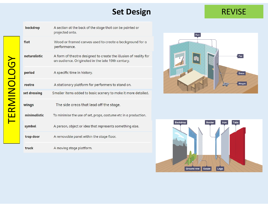## **Set Design**

#### REVISE

| backdrop     | A section at the back of the stage that can be painted or<br>projected onto.                                          |
|--------------|-----------------------------------------------------------------------------------------------------------------------|
| flat         | Wood or framed canvas used to create a background for a<br>performance.                                               |
| naturalistic | A form of theatre designed to create the illusion of reality for<br>an audience. Originated in the late 19th century. |
| period       | A specific time in history.                                                                                           |
| rostra       | A stationary platform for performers to stand on.                                                                     |
| set dressing | Smaller items added to basic scenery to make it more detailed.                                                        |
| wings        | The side areas that lead off the stage.                                                                               |
| minimalistic | To minimise the use of set, props, costume etc in a production.                                                       |
| symbol       | A person, object or idea that represents something else.                                                              |
| trap door    | A removable panel within the stage floor.                                                                             |
| truck        | A moving stage platform.                                                                                              |



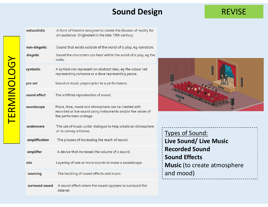# **Sound Design**

# REVISE

| naturalistic   | A form of theatre designed to create the illusion of reality for<br>an audience. Originated in the late 19th century.                            |
|----------------|--------------------------------------------------------------------------------------------------------------------------------------------------|
| non-diegetic   | Sound that exists outside of the world of a play, eg narration.                                                                                  |
| diegetic       | Sound the characters can hear within the world of a play, eg the<br>radio.                                                                       |
| symbolic       | A symbol can represent an abstract idea, eg the colour red<br>representing romance or a dove representing peace.                                 |
| pre-set        | Sound or music played prior to a performance.                                                                                                    |
| sound effect   | The artificial reproduction of sound.                                                                                                            |
| soundscape     | Place, time, mood and atmosphere can be created with<br>recorded or live sound using instruments and/or the voices of<br>the performers onstage. |
| underscore     | The use of music under dialogue to help create an atmosphere<br>or to convey a theme.                                                            |
| amplification  | The process of increasing the reach of sound.                                                                                                    |
| amplifier      | A device that increases the volume of a sound.                                                                                                   |
| mix            | Layering of one or more sounds to make a soundscape.                                                                                             |
| sourcing       | The locating of sound effects and music.                                                                                                         |
| surround sound | A sound effect where the sound appears to surround the<br>listener.                                                                              |

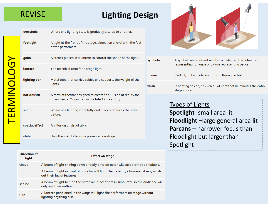## REVISE

# **Lighting Design**

|                                                            | crossfade      | Where one lighting state is gradually altered to another.                                |          |                                                                |
|------------------------------------------------------------|----------------|------------------------------------------------------------------------------------------|----------|----------------------------------------------------------------|
|                                                            | footlight      | A light at the front of the stage, almost on a level with the feet<br>of the performers. |          |                                                                |
|                                                            |                |                                                                                          |          |                                                                |
|                                                            | qobo           | A stencil placed in a lantern to control the shape of the light.                         | symbolic | A symbol can represent an abstract idea, eg the colour red     |
| $\sqrt{\phantom{a}}$                                       | lantern        | The technical term for a stage light.                                                    |          | representing romance or a dove representing peace.             |
|                                                            |                |                                                                                          | theme    | Central, unifying idea(s) that run through a text.             |
|                                                            | lighting bar   | Metal tube that carries cables and supports the weight of the<br>lights.                 |          |                                                                |
|                                                            |                |                                                                                          | wash     | In lighting design, an even fill of light that illuminates the |
|                                                            | naturalistic   | A form of theatre designed to create the illusion of reality for                         |          | stage space.                                                   |
| RMINOLO                                                    |                | an audience. Originated in the late 19th century.                                        |          |                                                                |
|                                                            |                |                                                                                          |          | <b>Types of Lights</b>                                         |
| $\begin{array}{c} \blacksquare \ \blacksquare \end{array}$ | snap           | Where one lighting state fully and quickly replaces the state<br>before.                 |          | Spotlight- small area lit                                      |
|                                                            |                |                                                                                          |          | Floodlight - large general area lit                            |
|                                                            | special effect | An illusion or visual trick.                                                             |          | <b>Parcans</b> - narrower focus than                           |
|                                                            |                |                                                                                          |          |                                                                |
|                                                            | style          | How theatrical ideas are presented on stage.                                             |          | Floodlight but larger than                                     |
|                                                            |                |                                                                                          |          |                                                                |

| Direction of<br>light | <b>Effect on stage</b>                                                                                            |
|-----------------------|-------------------------------------------------------------------------------------------------------------------|
| Above                 | A beam of light shining down directly onto an actor will cast dramatic shadows.                                   |
| Front                 | A beam of light in front of an actor will light them clearly - however, it may wash<br>out their facial features. |
| <b>Behind</b>         | A beam of light behind the actor will place them in silhouette so the audience will<br>only see their outline.    |
| Side                  | A lantern positioned in the wings will light the performers on stage without<br>lighting anything else.           |



| olic | A symbol can represent an abstract idea, eg the colour red<br>representing romance or a dove representing peace.                                                                    |  |
|------|-------------------------------------------------------------------------------------------------------------------------------------------------------------------------------------|--|
|      | Central, unifying idea(s) that run through a text.                                                                                                                                  |  |
|      | In lighting design, an even fill of light that illuminates the entire<br>stage space.                                                                                               |  |
|      | <b>Types of Lights</b><br>Spotlight- small area lit<br><b>Floodlight</b> -large general area lit<br><b>Parcans</b> – narrower focus than<br>Floodlight but larger than<br>Spotlight |  |